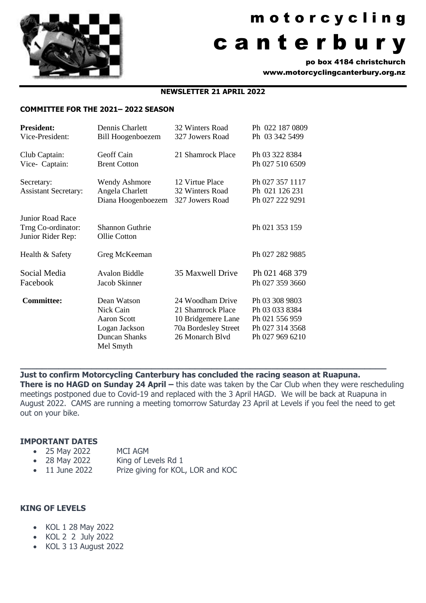

# m o t o r c y c l i n g c a n t e r b u r y

po box 4184 christchurch www.motorcyclingcanterbury.org.nz

#### **NEWSLETTER 21 APRIL 2022**

#### **COMMITTEE FOR THE 2021– 2022 SEASON**

| <b>President:</b><br>Vice-President:                               | Dennis Charlett<br><b>Bill Hoogenboezem</b>                                                          | 32 Winters Road<br>327 Jowers Road                                                                     | Ph 022 187 0809<br>Ph 03 342 5499                                                        |
|--------------------------------------------------------------------|------------------------------------------------------------------------------------------------------|--------------------------------------------------------------------------------------------------------|------------------------------------------------------------------------------------------|
| Club Captain:<br>Vice- Captain:                                    | Geoff Cain<br><b>Brent Cotton</b>                                                                    | 21 Shamrock Place                                                                                      | Ph 03 322 8384<br>Ph 027 510 6509                                                        |
| Secretary:<br><b>Assistant Secretary:</b>                          | <b>Wendy Ashmore</b><br>Angela Charlett<br>Diana Hoogenboezem                                        | 12 Virtue Place<br>32 Winters Road<br>327 Jowers Road                                                  | Ph 027 357 1117<br>Ph 021 126 231<br>Ph 027 222 9291                                     |
| <b>Junior Road Race</b><br>Trng Co-ordinator:<br>Junior Rider Rep: | Shannon Guthrie<br>Ollie Cotton                                                                      |                                                                                                        | Ph 021 353 159                                                                           |
| Health & Safety                                                    | Greg McKeeman                                                                                        |                                                                                                        | Ph 027 282 9885                                                                          |
| Social Media<br>Facebook                                           | <b>Avalon Biddle</b><br>Jacob Skinner                                                                | 35 Maxwell Drive                                                                                       | Ph 021 468 379<br>Ph 027 359 3660                                                        |
| <b>Committee:</b>                                                  | Dean Watson<br>Nick Cain<br><b>Aaron Scott</b><br>Logan Jackson<br><b>Duncan Shanks</b><br>Mel Smyth | 24 Woodham Drive<br>21 Shamrock Place<br>10 Bridgemere Lane<br>70a Bordesley Street<br>26 Monarch Blvd | Ph 03 308 9803<br>Ph 03 033 8384<br>Ph 021 556 959<br>Ph 027 314 3568<br>Ph 027 969 6210 |

**Just to confirm Motorcycling Canterbury has concluded the racing season at Ruapuna.**

**\_\_\_\_\_\_\_\_\_\_\_\_\_\_\_\_\_\_\_\_\_\_\_\_\_\_\_\_\_\_\_\_\_\_\_\_\_\_\_\_\_\_\_\_\_\_\_\_\_\_\_\_\_\_\_\_\_\_\_\_\_\_\_\_\_\_\_**

**There is no HAGD on Sunday 24 April – this date was taken by the Car Club when they were rescheduling** meetings postponed due to Covid-19 and replaced with the 3 April HAGD. We will be back at Ruapuna in August 2022. CAMS are running a meeting tomorrow Saturday 23 April at Levels if you feel the need to get out on your bike.

#### **IMPORTANT DATES**

- 25 May 2022 MCI AGM
- 28 May 2022 King of Levels Rd 1
- 11 June 2022 Prize giving for KOL, LOR and KOC

#### **KING OF LEVELS**

- KOL 1 28 May 2022
- KOL 2 2 July 2022
- KOL 3 13 August 2022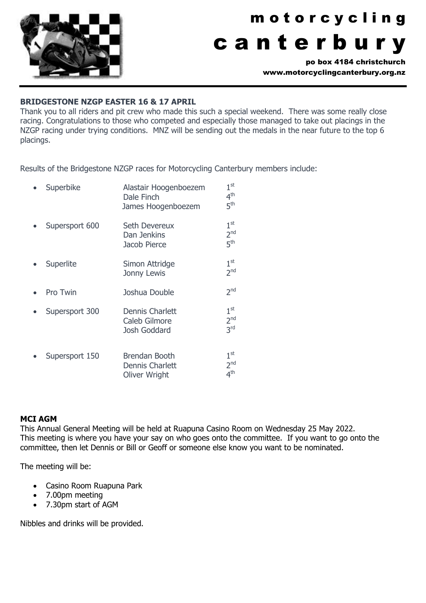

# m o t o r c y c l i n g c a n t e r b u r y

po box 4184 christchurch www.motorcyclingcanterbury.org.nz

#### **BRIDGESTONE NZGP EASTER 16 & 17 APRIL**

Thank you to all riders and pit crew who made this such a special weekend. There was some really close racing. Congratulations to those who competed and especially those managed to take out placings in the NZGP racing under trying conditions. MNZ will be sending out the medals in the near future to the top 6 placings.

Results of the Bridgestone NZGP races for Motorcycling Canterbury members include:

| Superbike      | Alastair Hoogenboezem<br>Dale Finch<br>James Hoogenboezem       | 1 <sup>st</sup><br>4 <sup>th</sup><br>5 <sup>th</sup> |
|----------------|-----------------------------------------------------------------|-------------------------------------------------------|
| Supersport 600 | Seth Devereux<br>Dan Jenkins<br>Jacob Pierce                    | 1 <sup>st</sup><br>2 <sup>nd</sup><br>5 <sup>th</sup> |
| Superlite      | Simon Attridge<br>Jonny Lewis                                   | 1 <sup>st</sup><br>2 <sub>nd</sub>                    |
| Pro Twin       | Joshua Double                                                   | 2 <sup>nd</sup>                                       |
| Supersport 300 | Dennis Charlett<br>Caleb Gilmore<br>Josh Goddard                | 1 <sup>st</sup><br>2 <sub>nd</sub><br>3 <sup>rd</sup> |
| Supersport 150 | Brendan Booth<br><b>Dennis Charlett</b><br><b>Oliver Wright</b> | 1 <sup>st</sup><br>2 <sup>nd</sup><br>4 <sup>th</sup> |

#### **MCI AGM**

This Annual General Meeting will be held at Ruapuna Casino Room on Wednesday 25 May 2022. This meeting is where you have your say on who goes onto the committee. If you want to go onto the committee, then let Dennis or Bill or Geoff or someone else know you want to be nominated.

The meeting will be:

- Casino Room Ruapuna Park
- 7.00pm meeting
- 7.30pm start of AGM

Nibbles and drinks will be provided.